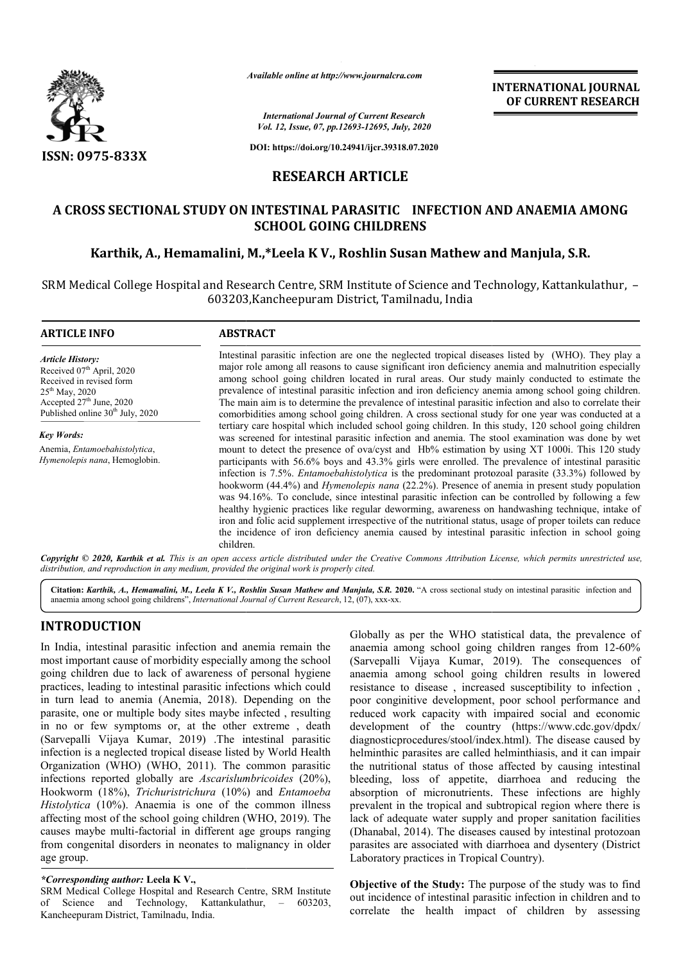

*Available online at http://www.journalcra.com*

*International Journal of Current Research Vol. 12, Issue, 07, pp.12693-12695, July, 2020* **INTERNATIONAL JOURNAL OF CURRENT RESEARCH**

**DOI: https://doi.org/10.24941/ijcr.39318.07.2020**

## **RESEARCH ARTICLE**

# **A CROSS SECTIONAL STUDY ON INTESTINAL PARASITIC INFECTION AND ANAEMIA AMONG SCHOOL GOING CHILDRENS**

# **Karthik, A., Hemamalini, M.,\*Leela K V., Roshlin Susan Mathew and Manjula, S.R.**

SRM Medical College Hospital and Research Centre, SRM Institute of Science and Technology, Kattankulathur, -603203,Kancheepuram District, Tamilnadu, India

#### **ARTICLE INFO ABSTRACT** Intestinal parasitic infection are one the neglected tropical diseases diseases listed by (WHO). They play a major role among all reasons to cause significant iron deficiency anemia and malnutrition especially among school going children located in rural areas. Our study mainly conducted to estimate the prevalence of intestinal parasitic infection and iron deficiency anemia among school going children. The main aim is to determine the prevalence of intestinal parasitic infection and also to correlate their comorbidities among school going children. A cross sectional study for one year was conducted at a tertiary care hospital which included school going children. In this study, 120 school going children was screened for intestinal parasitic infection and anemia. The stool examination was done by wet mount to detect the presence of ova/cyst and Hb% estimation by using XT 1000i. This 120 study participants with 56.6% boys and 43.3% girls were enrolled. The prevalence of intestinal parasitic infection is 7.5%. *Entamoebahistolytica* is the predominant protozoal parasite (33.3%) followed by hookworm (44.4%) and *Hymenolepis nana* (22.2%). Presence of anemia in present study population was 94.16%. To conclude, since intestinal parasitic infection can be controlled by following a few healthy hygienic practices like regular deworming, awareness on handwashing technique, intake of iron and folic acid supplement irrespective of the nutritional status, usage of proper toilets can reduce the incidence of iron deficiency anemia caused by intestinal parasitic infection in school going *Article History: Article History:* Received 07<sup>th</sup> April, 2020 Received in revised form Received in revised form  $25<sup>th</sup>$  May, 2020 Accepted 27<sup>th</sup> June, 2020 Published online 30<sup>th</sup> July, 2020 *Key Words:* Anemia, *Entamoebahistolytica*, *Hymenolepis nana*, Hemoglobin.

Copyright © 2020, Karthik et al. This is an open access article distributed under the Creative Commons Attribution License, which permits unrestricted use, *distribution, and reproduction in any medium, provided the original work is properly cited.*

Citation: Karthik, A., Hemamalini, M., Leela K V., Roshlin Susan Mathew and Manjula, S.R. 2020. "A cross sectional study on intestinal parasitic infection and anaemia among school going childrens", *International Journal of Current Research*, 12, (07), xxx-xx.

# **INTRODUCTION**

In India, intestinal parasitic infection and anemia remain the most important cause of morbidity especially among the school going children due to lack of awareness of personal hygiene practices, leading to intestinal parasitic infections which could in turn lead to anemia (Anemia, 2018). Depending on the parasite, one or multiple body sites maybe infected , resulting in no or few symptoms or, at the other extreme , death (Sarvepalli Vijaya Kumar, 2019) .The intestinal parasitic infection is a neglected tropical disease listed by World Health Organization (WHO) (WHO, 2011). The common parasitic infections reported globally are *Ascarislumbricoides* (20%), Hookworm (18%), *Trichuristrichura* (10%) and *Entamoeba Histolytica* (10%). Anaemia is one of the common illness affecting most of the school going children ( (WHO, 2019). The causes maybe multi-factorial in different age groups ranging from congenital disorders in neonates to malignancy in older age group.

children.

### *\*Corresponding author:* **Leela K V.,**

SRM Medical College Hospital and Research Centre, SRM Institute of Science and Technology, Kattankulathur, – 603203, Kancheepuram District, Tamilnadu, India.

Globally as per the WHO statistical data, the prevalence of anaemia among school going children ranges from 12-60% (Sarvepalli Vijaya Kumar, 2019). The consequences of anaemia among school going children results in lowered resistance to disease, increased susceptibility to infection, poor conginitive development, poor school performance and reduced work capacity with impaired social and economic development of the country (https://www.cdc.gov/dpdx/ diagnosticprocedures/stool/index.html diagnosticprocedures/stool/index.html). The disease caused by helminthic parasites are called helminthiasis, and it can impair the nutritional status of those affected by causing intestinal bleeding, loss of appetite, diarrhoea and reducing the absorption of micronutrients. These infections are highly prevalent in the tropical and subtropical region where there is lack of adequate water supply and proper sanitation facilities (Dhanabal, 2014). The diseases caused by intestinal protozoan parasites are associated with diarrhoea and dysentery (District Laboratory practices in Tropical Country).

**Objective of the Study:** The purpose of the study was to find out incidence of intestinal parasitic infection in children and to correlate the health impact of children by assessing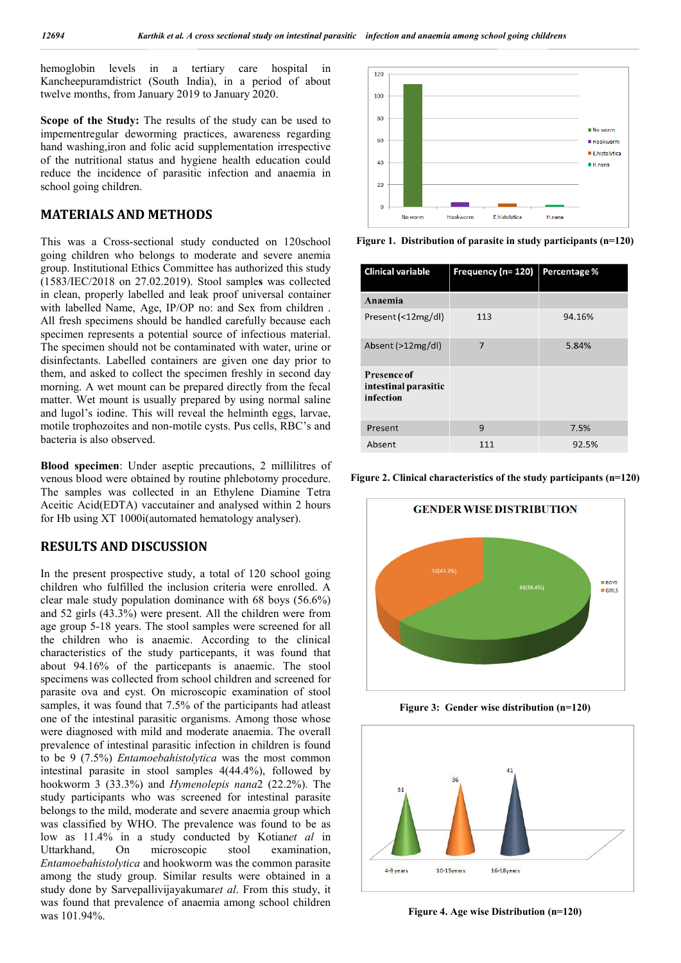hemoglobin levels in a tertiary care hospital in Kancheepuramdistrict (South India), in a period of about twelve months, from January 2019 to January 2020.

**Scope of the Study:** The results of the study can be used to impementregular deworming practices, awareness regarding hand washing,iron and folic acid supplementation irrespective of the nutritional status and hygiene health education could reduce the incidence of parasitic infection and anaemia in school going children.

#### **MATERIALS AND METHODS**

This was a Cross-sectional study conducted on 120school going children who belongs to moderate and severe anemia group. Institutional Ethics Committee has authorized this study (1583/IEC/2018 on 27.02.2019). Stool sample**s** was collected in clean, properly labelled and leak proof universal container with labelled Name, Age, IP/OP no: and Sex from children . All fresh specimens should be handled carefully because each specimen represents a potential source of infectious material. The specimen should not be contaminated with water, urine or disinfectants. Labelled containers are given one day prior to them, and asked to collect the specimen freshly in second day morning. A wet mount can be prepared directly from the fecal matter. Wet mount is usually prepared by using normal saline and lugol's iodine. This will reveal the helminth eggs, larvae, motile trophozoites and non-motile cysts. Pus cells, RBC's and bacteria is also observed.

**Blood specimen**: Under aseptic precautions, 2 millilitres of venous blood were obtained by routine phlebotomy procedure. The samples was collected in an Ethylene Diamine Tetra Aceitic Acid(EDTA) vaccutainer and analysed within 2 hours for Hb using XT 1000i(automated hematology analyser).

## **RESULTS AND DISCUSSION**

In the present prospective study, a total of 120 school going children who fulfilled the inclusion criteria were enrolled. A clear male study population dominance with 68 boys (56.6%) and 52 girls (43.3%) were present. All the children were from age group 5-18 years. The stool samples were screened for all the children who is anaemic. According to the clinical characteristics of the study particepants, it was found that about 94.16% of the particepants is anaemic. The stool specimens was collected from school children and screened for parasite ova and cyst. On microscopic examination of stool samples, it was found that 7.5% of the participants had atleast one of the intestinal parasitic organisms. Among those whose were diagnosed with mild and moderate anaemia. The overall prevalence of intestinal parasitic infection in children is found to be 9 (7.5%) *Entamoebahistolytica* was the most common intestinal parasite in stool samples 4(44.4%), followed by hookworm 3 (33.3%) and *Hymenolepis nana*2 (22.2%). The study participants who was screened for intestinal parasite belongs to the mild, moderate and severe anaemia group which was classified by WHO. The prevalence was found to be as low as 11.4% in a study conducted by Kotian*et al* in Uttarkhand, On microscopic stool examination, *Entamoebahistolytica* and hookworm was the common parasite among the study group. Similar results were obtained in a study done by Sarvepallivijayakumar*et al*. From this study, it was found that prevalence of anaemia among school children was 101.94%.



**Figure 1. Distribution of parasite in study participants (n=120)**

| <b>Clinical variable</b>                         | Frequency (n= 120) | Percentage % |
|--------------------------------------------------|--------------------|--------------|
| Anaemia                                          |                    |              |
| Present (<12mg/dl)                               | 113                | 94.16%       |
| Absent (>12mg/dl)                                | 7                  | 5.84%        |
| Presence of<br>intestinal parasitic<br>infection |                    |              |
| Present                                          | 9                  | 7.5%         |
| Absent                                           | 111                | 92.5%        |

**Figure 2. Clinical characteristics of the study participants (n=120)**



**Figure 3: Gender wise distribution (n=120)**



**Figure 4. Age wise Distribution (n=120)**